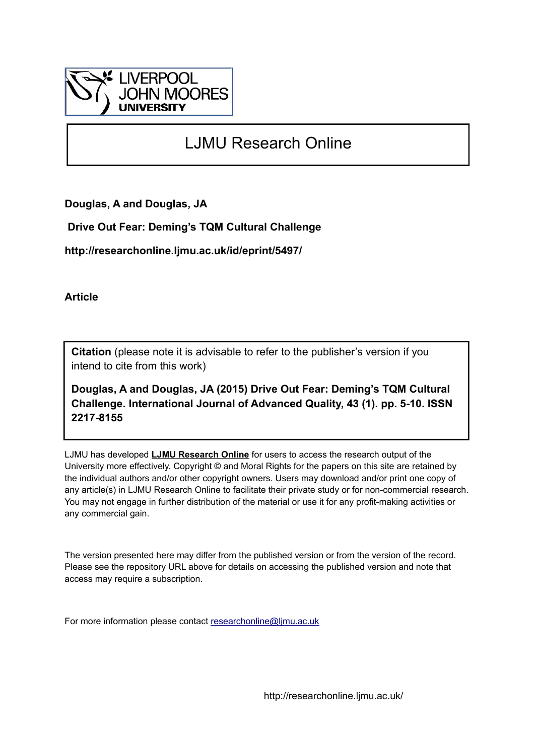

# LJMU Research Online

**Douglas, A and Douglas, JA**

 **Drive Out Fear: Deming's TQM Cultural Challenge**

**http://researchonline.ljmu.ac.uk/id/eprint/5497/**

**Article**

**Citation** (please note it is advisable to refer to the publisher's version if you intend to cite from this work)

**Douglas, A and Douglas, JA (2015) Drive Out Fear: Deming's TQM Cultural Challenge. International Journal of Advanced Quality, 43 (1). pp. 5-10. ISSN 2217-8155** 

LJMU has developed **[LJMU Research Online](http://researchonline.ljmu.ac.uk/)** for users to access the research output of the University more effectively. Copyright © and Moral Rights for the papers on this site are retained by the individual authors and/or other copyright owners. Users may download and/or print one copy of any article(s) in LJMU Research Online to facilitate their private study or for non-commercial research. You may not engage in further distribution of the material or use it for any profit-making activities or any commercial gain.

The version presented here may differ from the published version or from the version of the record. Please see the repository URL above for details on accessing the published version and note that access may require a subscription.

For more information please contact [researchonline@ljmu.ac.uk](mailto:researchonline@ljmu.ac.uk)

http://researchonline.ljmu.ac.uk/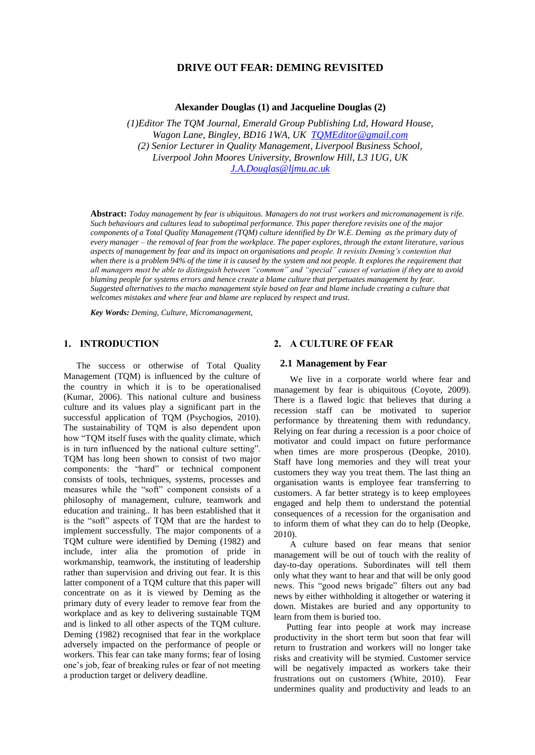# **DRIVE OUT FEAR: DEMING REVISITED**

**Alexander Douglas (1) and Jacqueline Douglas (2)**

*(1)Editor The TQM Journal, Emerald Group Publishing Ltd, Howard House, Wagon Lane, Bingley, BD16 1WA, UK [TQMEditor@gmail.com](mailto:TQMEditor@gmail.com) (2) Senior Lecturer in Quality Management, Liverpool Business School, Liverpool John Moores University, Brownlow Hill, L3 1UG, UK [J.A.Douglas@ljmu.ac.uk](mailto:J.A.Douglas@ljmu.ac.uk)*

**Abstract:** *Today management by fear is ubiquitous. Managers do not trust workers and micromanagement is rife. Such behaviours and cultures lead to suboptimal performance. This paper therefore revisits one of the major components of a Total Quality Management (TQM) culture identified by Dr W.E. Deming as the primary duty of every manager – the removal of fear from the workplace. The paper explores, through the extant literature, various aspects of management by fear and its impact on organisations and people. It revisits Deming's contention that when there is a problem 94% of the time it is caused by the system and not people. It explores the requirement that all managers must be able to distinguish between "common" and "special" causes of variation if they are to avoid blaming people for systems errors and hence create a blame culture that perpetuates management by fear. Suggested alternatives to the macho management style based on fear and blame include creating a culture that welcomes mistakes and where fear and blame are replaced by respect and trust.*

*Key Words: Deming, Culture, Micromanagement,*

#### **1. INTRODUCTION**

The success or otherwise of Total Quality Management (TQM) is influenced by the culture of the country in which it is to be operationalised (Kumar, 2006). This national culture and business culture and its values play a significant part in the successful application of TQM (Psychogios, 2010). The sustainability of TQM is also dependent upon how "TQM itself fuses with the quality climate, which is in turn influenced by the national culture setting". TQM has long been shown to consist of two major components: the "hard" or technical component consists of tools, techniques, systems, processes and measures while the "soft" component consists of a philosophy of management, culture, teamwork and education and training.. It has been established that it is the "soft" aspects of TQM that are the hardest to implement successfully. The major components of a TQM culture were identified by Deming (1982) and include, inter alia the promotion of pride in workmanship, teamwork, the instituting of leadership rather than supervision and driving out fear. It is this latter component of a TQM culture that this paper will concentrate on as it is viewed by Deming as the primary duty of every leader to remove fear from the workplace and as key to delivering sustainable TQM and is linked to all other aspects of the TQM culture. Deming (1982) recognised that fear in the workplace adversely impacted on the performance of people or workers. This fear can take many forms; fear of losing one's job, fear of breaking rules or fear of not meeting a production target or delivery deadline.

#### **2. A CULTURE OF FEAR**

#### **2.1 Management by Fear**

We live in a corporate world where fear and management by fear is ubiquitous (Coyote, 2009). There is a flawed logic that believes that during a recession staff can be motivated to superior performance by threatening them with redundancy. Relying on fear during a recession is a poor choice of motivator and could impact on future performance when times are more prosperous (Deopke, 2010). Staff have long memories and they will treat your customers they way you treat them. The last thing an organisation wants is employee fear transferring to customers. A far better strategy is to keep employees engaged and help them to understand the potential consequences of a recession for the organisation and to inform them of what they can do to help (Deopke, 2010).

A culture based on fear means that senior management will be out of touch with the reality of day-to-day operations. Subordinates will tell them only what they want to hear and that will be only good news. This "good news brigade" filters out any bad news by either withholding it altogether or watering it down. Mistakes are buried and any opportunity to learn from them is buried too.

Putting fear into people at work may increase productivity in the short term but soon that fear will return to frustration and workers will no longer take risks and creativity will be stymied. Customer service will be negatively impacted as workers take their frustrations out on customers (White, 2010). Fear undermines quality and productivity and leads to an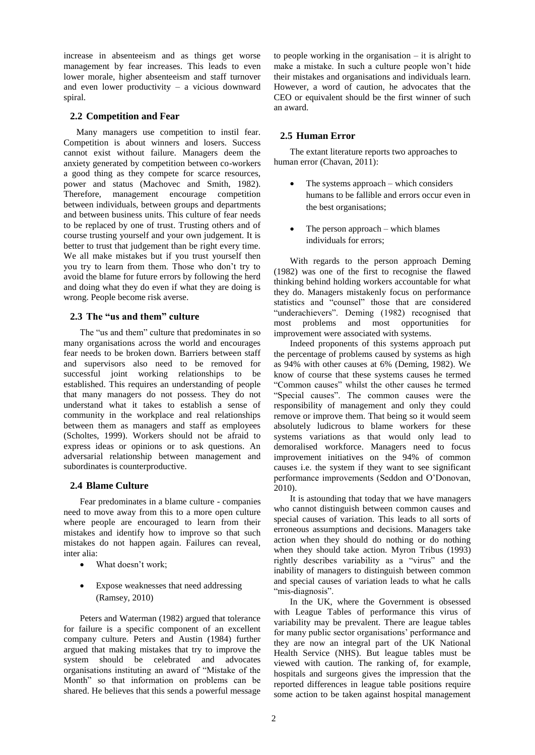increase in absenteeism and as things get worse management by fear increases. This leads to even lower morale, higher absenteeism and staff turnover and even lower productivity – a vicious downward spiral.

#### **2.2 Competition and Fear**

Many managers use competition to instil fear. Competition is about winners and losers. Success cannot exist without failure. Managers deem the anxiety generated by competition between co-workers a good thing as they compete for scarce resources, power and status (Machovec and Smith, 1982). Therefore, management encourage competition between individuals, between groups and departments and between business units. This culture of fear needs to be replaced by one of trust. Trusting others and of course trusting yourself and your own judgement. It is better to trust that judgement than be right every time. We all make mistakes but if you trust yourself then you try to learn from them. Those who don't try to avoid the blame for future errors by following the herd and doing what they do even if what they are doing is wrong. People become risk averse.

#### **2.3 The "us and them" culture**

The "us and them" culture that predominates in so many organisations across the world and encourages fear needs to be broken down. Barriers between staff and supervisors also need to be removed for successful joint working relationships to be established. This requires an understanding of people that many managers do not possess. They do not understand what it takes to establish a sense of community in the workplace and real relationships between them as managers and staff as employees (Scholtes, 1999). Workers should not be afraid to express ideas or opinions or to ask questions. An adversarial relationship between management and subordinates is counterproductive.

# **2.4 Blame Culture**

Fear predominates in a blame culture - companies need to move away from this to a more open culture where people are encouraged to learn from their mistakes and identify how to improve so that such mistakes do not happen again. Failures can reveal, inter alia:

- What doesn't work;
- Expose weaknesses that need addressing (Ramsey, 2010)

Peters and Waterman (1982) argued that tolerance for failure is a specific component of an excellent company culture. Peters and Austin (1984) further argued that making mistakes that try to improve the system should be celebrated and advocates organisations instituting an award of "Mistake of the Month" so that information on problems can be shared. He believes that this sends a powerful message to people working in the organisation  $-$  it is alright to make a mistake. In such a culture people won't hide their mistakes and organisations and individuals learn. However, a word of caution, he advocates that the CEO or equivalent should be the first winner of such an award.

# **2.5 Human Error**

The extant literature reports two approaches to human error (Chavan, 2011):

- The systems approach which considers humans to be fallible and errors occur even in the best organisations;
- The person approach which blames individuals for errors;

With regards to the person approach Deming (1982) was one of the first to recognise the flawed thinking behind holding workers accountable for what they do. Managers mistakenly focus on performance statistics and "counsel" those that are considered "underachievers". Deming (1982) recognised that most problems and most opportunities for improvement were associated with systems.

Indeed proponents of this systems approach put the percentage of problems caused by systems as high as 94% with other causes at 6% (Deming, 1982). We know of course that these systems causes he termed "Common causes" whilst the other causes he termed "Special causes". The common causes were the responsibility of management and only they could remove or improve them. That being so it would seem absolutely ludicrous to blame workers for these systems variations as that would only lead to demoralised workforce. Managers need to focus improvement initiatives on the 94% of common causes i.e. the system if they want to see significant performance improvements (Seddon and O'Donovan, 2010).

It is astounding that today that we have managers who cannot distinguish between common causes and special causes of variation. This leads to all sorts of erroneous assumptions and decisions. Managers take action when they should do nothing or do nothing when they should take action. Myron Tribus (1993) rightly describes variability as a "virus" and the inability of managers to distinguish between common and special causes of variation leads to what he calls "mis-diagnosis".

In the UK, where the Government is obsessed with League Tables of performance this virus of variability may be prevalent. There are league tables for many public sector organisations' performance and they are now an integral part of the UK National Health Service (NHS). But league tables must be viewed with caution. The ranking of, for example, hospitals and surgeons gives the impression that the reported differences in league table positions require some action to be taken against hospital management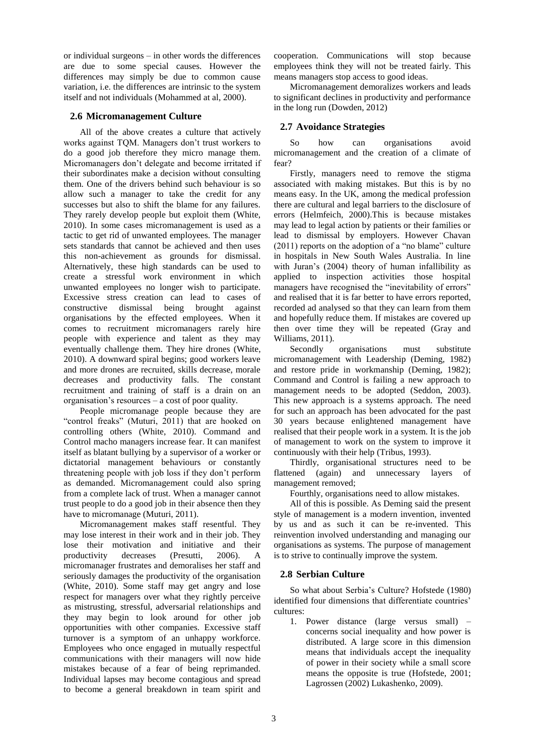or individual surgeons – in other words the differences are due to some special causes. However the differences may simply be due to common cause variation, i.e. the differences are intrinsic to the system itself and not individuals (Mohammed at al, 2000).

#### **2.6 Micromanagement Culture**

All of the above creates a culture that actively works against TQM. Managers don't trust workers to do a good job therefore they micro manage them. Micromanagers don't delegate and become irritated if their subordinates make a decision without consulting them. One of the drivers behind such behaviour is so allow such a manager to take the credit for any successes but also to shift the blame for any failures. They rarely develop people but exploit them (White, 2010). In some cases micromanagement is used as a tactic to get rid of unwanted employees. The manager sets standards that cannot be achieved and then uses this non-achievement as grounds for dismissal. Alternatively, these high standards can be used to create a stressful work environment in which unwanted employees no longer wish to participate. Excessive stress creation can lead to cases of constructive dismissal being brought against organisations by the effected employees. When it comes to recruitment micromanagers rarely hire people with experience and talent as they may eventually challenge them. They hire drones (White, 2010). A downward spiral begins; good workers leave and more drones are recruited, skills decrease, morale decreases and productivity falls. The constant recruitment and training of staff is a drain on an organisation's resources – a cost of poor quality.

People micromanage people because they are "control freaks" (Muturi, 2011) that are hooked on controlling others (White, 2010). Command and Control macho managers increase fear. It can manifest itself as blatant bullying by a supervisor of a worker or dictatorial management behaviours or constantly threatening people with job loss if they don't perform as demanded. Micromanagement could also spring from a complete lack of trust. When a manager cannot trust people to do a good job in their absence then they have to micromanage (Muturi, 2011).

Micromanagement makes staff resentful. They may lose interest in their work and in their job. They lose their motivation and initiative and their productivity decreases (Presutti, 2006). A micromanager frustrates and demoralises her staff and seriously damages the productivity of the organisation (White, 2010). Some staff may get angry and lose respect for managers over what they rightly perceive as mistrusting, stressful, adversarial relationships and they may begin to look around for other job opportunities with other companies. Excessive staff turnover is a symptom of an unhappy workforce. Employees who once engaged in mutually respectful communications with their managers will now hide mistakes because of a fear of being reprimanded. Individual lapses may become contagious and spread to become a general breakdown in team spirit and cooperation. Communications will stop because employees think they will not be treated fairly. This means managers stop access to good ideas.

Micromanagement demoralizes workers and leads to significant declines in productivity and performance in the long run (Dowden, 2012)

#### **2.7 Avoidance Strategies**

So how can organisations avoid micromanagement and the creation of a climate of fear?

Firstly, managers need to remove the stigma associated with making mistakes. But this is by no means easy. In the UK, among the medical profession there are cultural and legal barriers to the disclosure of errors (Helmfeich, 2000).This is because mistakes may lead to legal action by patients or their families or lead to dismissal by employers. However Chavan (2011) reports on the adoption of a "no blame" culture in hospitals in New South Wales Australia. In line with Juran's (2004) theory of human infallibility as applied to inspection activities those hospital managers have recognised the "inevitability of errors" and realised that it is far better to have errors reported, recorded ad analysed so that they can learn from them and hopefully reduce them. If mistakes are covered up then over time they will be repeated (Gray and Williams, 2011).

Secondly organisations must substitute micromanagement with Leadership (Deming, 1982) and restore pride in workmanship (Deming, 1982); Command and Control is failing a new approach to management needs to be adopted (Seddon, 2003). This new approach is a systems approach. The need for such an approach has been advocated for the past 30 years because enlightened management have realised that their people work in a system. It is the job of management to work on the system to improve it continuously with their help (Tribus, 1993).

Thirdly, organisational structures need to be flattened (again) and unnecessary layers of management removed;

Fourthly, organisations need to allow mistakes.

All of this is possible. As Deming said the present style of management is a modern invention, invented by us and as such it can be re-invented. This reinvention involved understanding and managing our organisations as systems. The purpose of management is to strive to continually improve the system.

# **2.8 Serbian Culture**

So what about Serbia's Culture? Hofstede (1980) identified four dimensions that differentiate countries' cultures:

1. Power distance (large versus small) – concerns social inequality and how power is distributed. A large score in this dimension means that individuals accept the inequality of power in their society while a small score means the opposite is true (Hofstede, 2001; Lagrossen (2002) Lukashenko, 2009).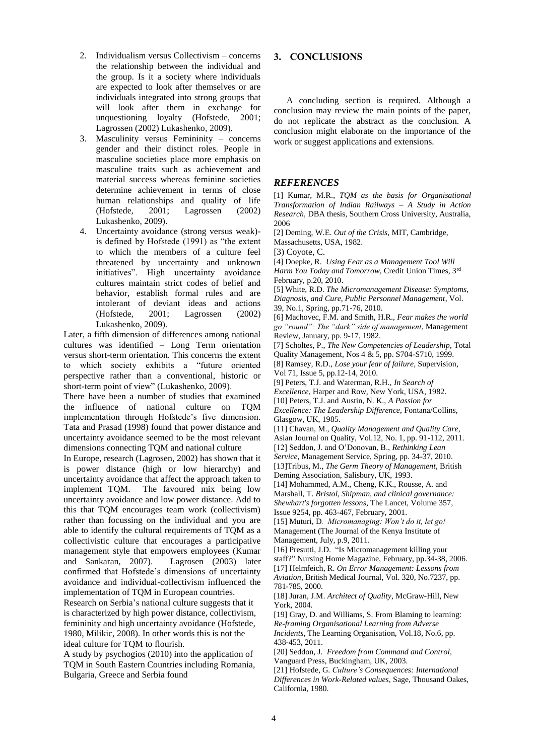- 2. Individualism versus Collectivism concerns the relationship between the individual and the group. Is it a society where individuals are expected to look after themselves or are individuals integrated into strong groups that will look after them in exchange for unquestioning loyalty (Hofstede, 2001; Lagrossen (2002) Lukashenko, 2009).
- 3. Masculinity versus Femininity concerns gender and their distinct roles. People in masculine societies place more emphasis on masculine traits such as achievement and material success whereas feminine societies determine achievement in terms of close human relationships and quality of life (Hofstede, 2001; Lagrossen (2002) Lukashenko, 2009).
- 4. Uncertainty avoidance (strong versus weak) is defined by Hofstede (1991) as "the extent to which the members of a culture feel threatened by uncertainty and unknown initiatives". High uncertainty avoidance cultures maintain strict codes of belief and behavior, establish formal rules and are intolerant of deviant ideas and actions (Hofstede, 2001; Lagrossen (2002) Lukashenko, 2009).

Later, a fifth dimension of differences among national cultures was identified – Long Term orientation versus short-term orientation. This concerns the extent to which society exhibits a "future oriented perspective rather than a conventional, historic or short-term point of view" (Lukashenko, 2009).

There have been a number of studies that examined the influence of national culture on TQM implementation through Hofstede's five dimension. Tata and Prasad (1998) found that power distance and uncertainty avoidance seemed to be the most relevant dimensions connecting TQM and national culture

In Europe, research (Lagrosen, 2002) has shown that it is power distance (high or low hierarchy) and uncertainty avoidance that affect the approach taken to implement TQM. The favoured mix being low uncertainty avoidance and low power distance. Add to this that TQM encourages team work (collectivism) rather than focussing on the individual and you are able to identify the cultural requirements of TQM as a collectivistic culture that encourages a participative management style that empowers employees (Kumar and Sankaran, 2007). Lagrosen (2003) later confirmed that Hofstede's dimensions of uncertainty avoidance and individual-collectivism influenced the implementation of TQM in European countries.

Research on Serbia's national culture suggests that it is characterized by high power distance, collectivism, femininity and high uncertainty avoidance (Hofstede, 1980, Milikic, 2008). In other words this is not the ideal culture for TQM to flourish.

A study by psychogios (2010) into the application of TQM in South Eastern Countries including Romania, Bulgaria, Greece and Serbia found

# **3. CONCLUSIONS**

A concluding section is required. Although a conclusion may review the main points of the paper, do not replicate the abstract as the conclusion. A conclusion might elaborate on the importance of the work or suggest applications and extensions.

#### *REFERENCES*

[1] Kumar, M.R., *TQM as the basis for Organisational Transformation of Indian Railways – A Study in Action Research*, DBA thesis, Southern Cross University, Australia, 2006

[2] Deming, W.E. *Out of the Crisis*, MIT, Cambridge, Massachusetts, USA, 1982.

[3) Coyote, C.

[4] Doepke, R. *Using Fear as a Management Tool Will Harm You Today and Tomorrow*, Credit Union Times, 3rd February, p.20, 2010.

[5] White, R.D. *The Micromanagement Disease: Symptoms, Diagnosis, and Cure, Public Personnel Management*, Vol. 39, No.1, Spring, pp.71-76, 2010.

[6] Machovec, F.M. and Smith, H.R., *Fear makes the world go "round": The "dark" side of management*, Management Review, January, pp. 9-17, 1982.

[7] Scholtes, P., *The New Competencies of Leadership*, Total Quality Management, Nos 4 & 5, pp. S704-S710, 1999.

[8] Ramsey, R.D., *Lose your fear of failure*, Supervision, Vol 71, Issue 5, pp.12-14, 2010.

[9] Peters, T.J. and Waterman, R.H., *In Search of* 

*Excellence*, Harper and Row, New York, USA, 1982.

[10] Peters, T.J. and Austin, N. K., *A Passion for Excellence: The Leadership Difference*, Fontana/Collins,

Glasgow, UK, 1985.

[11] Chavan, M., *Quality Management and Quality Care*, Asian Journal on Quality, Vol.12, No. 1, pp. 91-112, 2011. [12] Seddon, J. and O'Donovan, B., *Rethinking Lean* 

*Service*, Management Service, Spring, pp. 34-37, 2010.

[13]Tribus, M., *The Germ Theory of Management*, British Deming Association, Salisbury, UK, 1993.

[14] Mohammed, A.M., Cheng, K.K., Rousse, A. and Marshall, T. *Bristol, Shipman, and clinical governance: Shewhart's forgotten lessons*, The Lancet, Volume 357, Issue 9254, pp. 463-467, February, 2001.

[15] Muturi, D*. Micromanaging: Won't do it, let go!* Management (The Journal of the Kenya Institute of Management, July, p.9, 2011.

[16] Presutti, J.D. "Is Micromanagement killing your staff?" Nursing Home Magazine, February, pp.34-38, 2006. [17] Helmfeich, R. *On Error Management: Lessons from Aviation*, British Medical Journal, Vol. 320, No.7237, pp. 781-785, 2000.

[18] Juran, J.M. *Architect of Quality*, McGraw-Hill, New York, 2004.

[19] Gray, D. and Williams, S. From Blaming to learning: *Re-framing Organisational Learning from Adverse Incidents*, The Learning Organisation, Vol.18, No.6, pp. 438-453, 2011.

[20] Seddon, J. *Freedom from Command and Control*, Vanguard Press, Buckingham, UK, 2003.

[21] Hofstede, G. *Culture's Consequences: International Differences in Work-Related values*, Sage, Thousand Oakes, California, 1980.